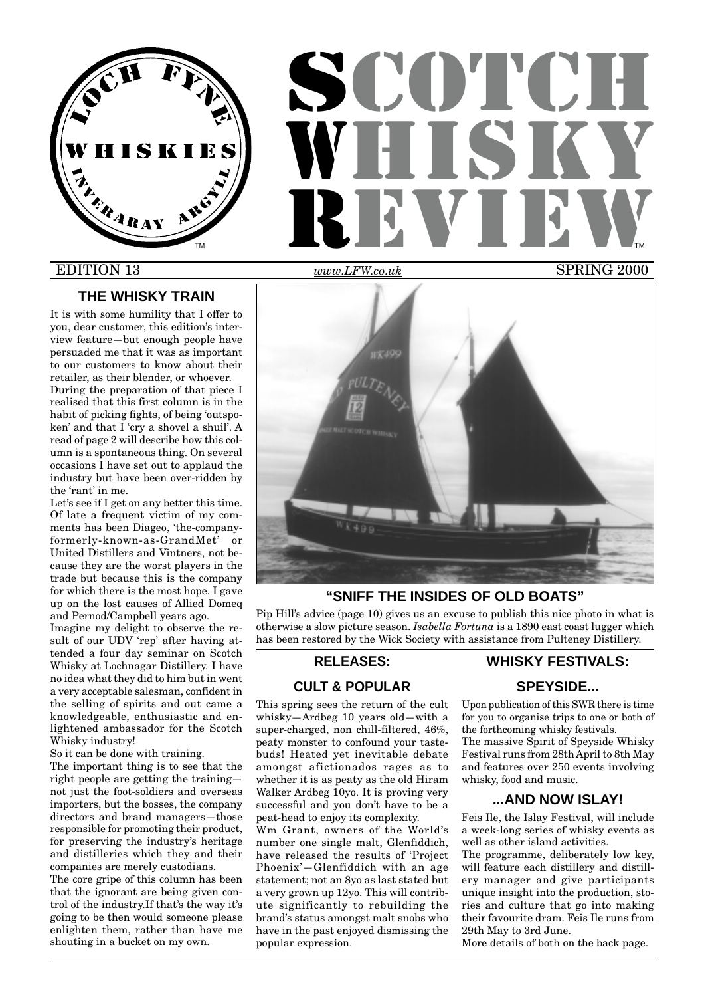

# **SCOTCH** WHUT **R** ELLE DEN L TM **THE REPORT OF STATE OF STATE OF STATE OF STATE OF STATE OF STATE OF STATE OF STATE OF STATE OF STATE OF STATE OF STATE OF STATE OF STATE OF STATE OF STATE OF STATE OF STATE OF STATE OF STATE OF STATE OF STATE OF STATE**

# EDITION 13

# **THE WHISKY TRAIN**

It is with some humility that I offer to you, dear customer, this edition's interview feature—but enough people have persuaded me that it was as important to our customers to know about their retailer, as their blender, or whoever.

During the preparation of that piece I realised that this first column is in the habit of picking fights, of being 'outspoken' and that I 'cry a shovel a shuil'. A read of page 2 will describe how this column is a spontaneous thing. On several occasions I have set out to applaud the industry but have been over-ridden by the 'rant' in me.

Let's see if I get on any better this time. Of late a frequent victim of my comments has been Diageo, 'the-companyformerly-known-as-GrandMet' or United Distillers and Vintners, not because they are the worst players in the trade but because this is the company for which there is the most hope. I gave up on the lost causes of Allied Domeq and Pernod/Campbell years ago.

Imagine my delight to observe the result of our UDV 'rep' after having attended a four day seminar on Scotch Whisky at Lochnagar Distillery. I have no idea what they did to him but in went a very acceptable salesman, confident in the selling of spirits and out came a knowledgeable, enthusiastic and enlightened ambassador for the Scotch Whisky industry!

So it can be done with training.

The important thing is to see that the right people are getting the training not just the foot-soldiers and overseas importers, but the bosses, the company directors and brand managers—those responsible for promoting their product, for preserving the industry's heritage and distilleries which they and their companies are merely custodians.

The core gripe of this column has been that the ignorant are being given control of the industry.If that's the way it's going to be then would someone please enlighten them, rather than have me shouting in a bucket on my own.

*www.LFW*

*.co.uk* SPRING 2000



# **"SNIFF THE INSIDES OF OLD BOATS"**

Pip Hill's advice (page 10) gives us an excuse to publish this nice photo in what is otherwise a slow picture season. *Isabella Fortuna* is a 1890 east coast lugger which has been restored by the Wick Society with assistance from Pulteney Distillery.

## **RELEASES:**

# **CULT & POPULAR**

This spring sees the return of the cult whisky—Ardbeg 10 years old—with a super-charged, non chill-filtered, 46%, peaty monster to confound your tastebuds! Heated yet inevitable debate amongst afictionados rages as to whether it is as peaty as the old Hiram Walker Ardbeg 10yo. It is proving very successful and you don't have to be a peat-head to enjoy its complexity.

Wm Grant, owners of the World's number one single malt, Glenfiddich, have released the results of 'Project Phoenix'—Glenfiddich with an age statement; not an 8yo as last stated but a very grown up 12yo. This will contribute significantly to rebuilding the brand's status amongst malt snobs who have in the past enjoyed dismissing the popular expression.

# **WHISKY FESTIVALS:**

# **SPEYSIDE...**

Upon publication of this SWR there is time for you to organise trips to one or both of the forthcoming whisky festivals.

The massive Spirit of Speyside Whisky Festival runs from 28th April to 8th May and features over 250 events involving whisky, food and music.

# **...AND NOW ISLAY!**

Feis Ile, the Islay Festival, will include a week-long series of whisky events as well as other island activities.

The programme, deliberately low key, will feature each distillery and distillery manager and give participants unique insight into the production, stories and culture that go into making their favourite dram. Feis Ile runs from 29th May to 3rd June.

More details of both on the back page.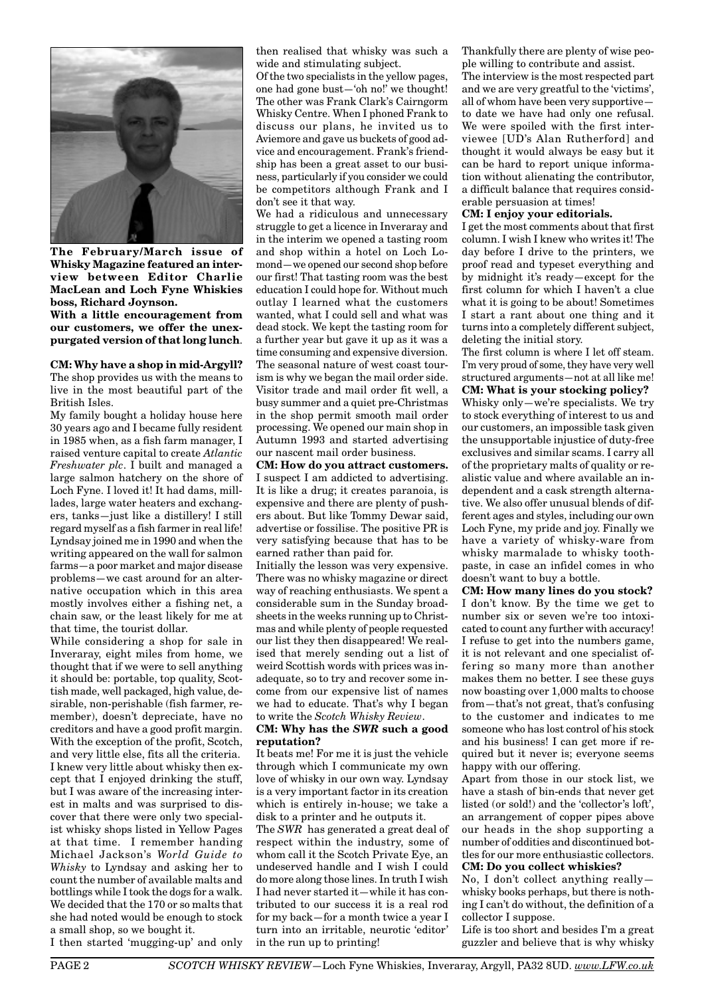

**The February/March issue of Whisky Magazine featured an interview between Editor Charlie MacLean and Loch Fyne Whiskies boss, Richard Joynson.**

**With a little encouragement from our customers, we offer the unexpurgated version of that long lunch**.

## **CM: Why have a shop in mid-Argyll?**

The shop provides us with the means to live in the most beautiful part of the British Isles.

My family bought a holiday house here 30 years ago and I became fully resident in 1985 when, as a fish farm manager, I raised venture capital to create *Atlantic Freshwater plc*. I built and managed a large salmon hatchery on the shore of Loch Fyne. I loved it! It had dams, milllades, large water heaters and exchangers, tanks—just like a distillery! I still regard myself as a fish farmer in real life! Lyndsay joined me in 1990 and when the writing appeared on the wall for salmon farms—a poor market and major disease problems—we cast around for an alternative occupation which in this area mostly involves either a fishing net, a chain saw, or the least likely for me at that time, the tourist dollar.

While considering a shop for sale in Inveraray, eight miles from home, we thought that if we were to sell anything it should be: portable, top quality, Scottish made, well packaged, high value, desirable, non-perishable (fish farmer, remember), doesn't depreciate, have no creditors and have a good profit margin. With the exception of the profit, Scotch, and very little else, fits all the criteria. I knew very little about whisky then except that I enjoyed drinking the stuff, but I was aware of the increasing interest in malts and was surprised to discover that there were only two specialist whisky shops listed in Yellow Pages at that time. I remember handing Michael Jackson's *World Guide to Whisky* to Lyndsay and asking her to count the number of available malts and bottlings while I took the dogs for a walk. We decided that the 170 or so malts that she had noted would be enough to stock a small shop, so we bought it.

then realised that whisky was such a wide and stimulating subject.

Of the two specialists in the yellow pages, one had gone bust—'oh no!' we thought! The other was Frank Clark's Cairngorm Whisky Centre. When I phoned Frank to discuss our plans, he invited us to Aviemore and gave us buckets of good advice and encouragement. Frank's friendship has been a great asset to our business, particularly if you consider we could be competitors although Frank and I don't see it that way.

We had a ridiculous and unnecessary struggle to get a licence in Inveraray and in the interim we opened a tasting room and shop within a hotel on Loch Lomond—we opened our second shop before our first! That tasting room was the best education I could hope for. Without much outlay I learned what the customers wanted, what I could sell and what was dead stock. We kept the tasting room for a further year but gave it up as it was a time consuming and expensive diversion. The seasonal nature of west coast tourism is why we began the mail order side. Visitor trade and mail order fit well, a busy summer and a quiet pre-Christmas in the shop permit smooth mail order processing. We opened our main shop in Autumn 1993 and started advertising our nascent mail order business.

**CM: How do you attract customers.** I suspect I am addicted to advertising. It is like a drug; it creates paranoia, is expensive and there are plenty of pushers about. But like Tommy Dewar said, advertise or fossilise. The positive PR is very satisfying because that has to be earned rather than paid for.

Initially the lesson was very expensive. There was no whisky magazine or direct way of reaching enthusiasts. We spent a considerable sum in the Sunday broadsheets in the weeks running up to Christmas and while plenty of people requested our list they then disappeared! We realised that merely sending out a list of weird Scottish words with prices was inadequate, so to try and recover some income from our expensive list of names we had to educate. That's why I began to write the *Scotch Whisky Review*.

#### **CM: Why has the** *SWR* **such a good reputation?**

It beats me! For me it is just the vehicle through which I communicate my own love of whisky in our own way. Lyndsay is a very important factor in its creation which is entirely in-house; we take a disk to a printer and he outputs it.

The *SWR* has generated a great deal of respect within the industry, some of whom call it the Scotch Private Eye, an undeserved handle and I wish I could do more along those lines. In truth I wish I had never started it—while it has contributed to our success it is a real rod for my back—for a month twice a year I turn into an irritable, neurotic 'editor' in the run up to printing!

Thankfully there are plenty of wise people willing to contribute and assist. The interview is the most respected part and we are very greatful to the 'victims', all of whom have been very supportive to date we have had only one refusal. We were spoiled with the first interviewee [UD's Alan Rutherford] and thought it would always be easy but it can be hard to report unique information without alienating the contributor, a difficult balance that requires considerable persuasion at times!

#### **CM: I enjoy your editorials.**

I get the most comments about that first column. I wish I knew who writes it! The day before I drive to the printers, we proof read and typeset everything and by midnight it's ready—except for the first column for which I haven't a clue what it is going to be about! Sometimes I start a rant about one thing and it turns into a completely different subject, deleting the initial story.

The first column is where I let off steam. I'm very proud of some, they have very well structured arguments—not at all like me!

**CM: What is your stocking policy?** Whisky only—we're specialists. We try to stock everything of interest to us and our customers, an impossible task given the unsupportable injustice of duty-free exclusives and similar scams. I carry all of the proprietary malts of quality or realistic value and where available an independent and a cask strength alternative. We also offer unusual blends of different ages and styles, including our own Loch Fyne, my pride and joy. Finally we have a variety of whisky-ware from whisky marmalade to whisky toothpaste, in case an infidel comes in who doesn't want to buy a bottle.

**CM: How many lines do you stock?** I don't know. By the time we get to number six or seven we're too intoxicated to count any further with accuracy! I refuse to get into the numbers game, it is not relevant and one specialist offering so many more than another makes them no better. I see these guys now boasting over 1,000 malts to choose from—that's not great, that's confusing to the customer and indicates to me someone who has lost control of his stock and his business! I can get more if required but it never is; everyone seems happy with our offering.

Apart from those in our stock list, we have a stash of bin-ends that never get listed (or sold!) and the 'collector's loft', an arrangement of copper pipes above our heads in the shop supporting a number of oddities and discontinued bottles for our more enthusiastic collectors. **CM: Do you collect whiskies?**

No, I don't collect anything really whisky books perhaps, but there is nothing I can't do without, the definition of a collector I suppose.

Life is too short and besides I'm a great guzzler and believe that is why whisky

I then started 'mugging-up' and only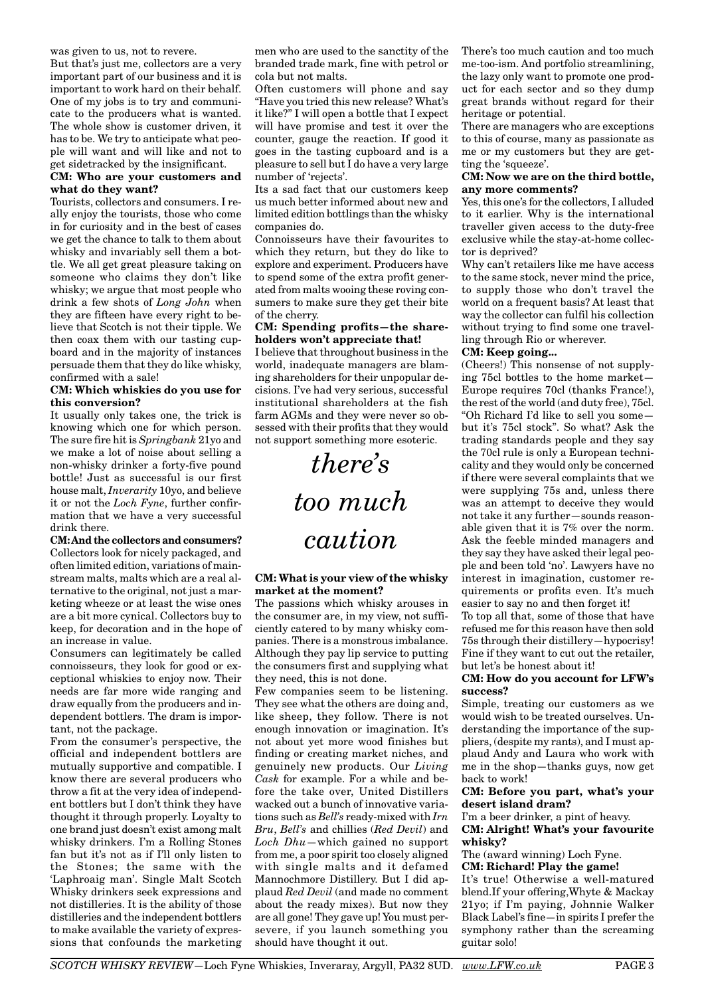was given to us, not to revere.

But that's just me, collectors are a very important part of our business and it is important to work hard on their behalf. One of my jobs is to try and communicate to the producers what is wanted. The whole show is customer driven, it has to be. We try to anticipate what people will want and will like and not to get sidetracked by the insignificant.

# **CM: Who are your customers and what do they want?**

Tourists, collectors and consumers. I really enjoy the tourists, those who come in for curiosity and in the best of cases we get the chance to talk to them about whisky and invariably sell them a bottle. We all get great pleasure taking on someone who claims they don't like whisky; we argue that most people who drink a few shots of *Long John* when they are fifteen have every right to believe that Scotch is not their tipple. We then coax them with our tasting cupboard and in the majority of instances persuade them that they do like whisky, confirmed with a sale!

#### **CM: Which whiskies do you use for this conversion?**

It usually only takes one, the trick is knowing which one for which person. The sure fire hit is *Springbank* 21yo and we make a lot of noise about selling a non-whisky drinker a forty-five pound bottle! Just as successful is our first house malt, *Inverarity* 10yo, and believe it or not the *Loch Fyne*, further confirmation that we have a very successful drink there.

**CM: And the collectors and consumers?** Collectors look for nicely packaged, and often limited edition, variations of mainstream malts, malts which are a real alternative to the original, not just a marketing wheeze or at least the wise ones are a bit more cynical. Collectors buy to keep, for decoration and in the hope of an increase in value.

Consumers can legitimately be called connoisseurs, they look for good or exceptional whiskies to enjoy now. Their needs are far more wide ranging and draw equally from the producers and independent bottlers. The dram is important, not the package.

From the consumer's perspective, the official and independent bottlers are mutually supportive and compatible. I know there are several producers who throw a fit at the very idea of independent bottlers but I don't think they have thought it through properly. Loyalty to one brand just doesn't exist among malt whisky drinkers. I'm a Rolling Stones fan but it's not as if I'll only listen to the Stones; the same with the 'Laphroaig man'. Single Malt Scotch Whisky drinkers seek expressions and not distilleries. It is the ability of those distilleries and the independent bottlers to make available the variety of expressions that confounds the marketing men who are used to the sanctity of the branded trade mark, fine with petrol or cola but not malts.

Often customers will phone and say "Have you tried this new release? What's it like?" I will open a bottle that I expect will have promise and test it over the counter, gauge the reaction. If good it goes in the tasting cupboard and is a pleasure to sell but I do have a very large number of 'rejects'.

Its a sad fact that our customers keep us much better informed about new and limited edition bottlings than the whisky companies do.

Connoisseurs have their favourites to which they return, but they do like to explore and experiment. Producers have to spend some of the extra profit generated from malts wooing these roving consumers to make sure they get their bite of the cherry.

#### **CM: Spending profits—the shareholders won't appreciate that!**

I believe that throughout business in the world, inadequate managers are blaming shareholders for their unpopular decisions. I've had very serious, successful institutional shareholders at the fish farm AGMs and they were never so obsessed with their profits that they would not support something more esoteric.

> *there's too much caution*

#### **CM: What is your view of the whisky market at the moment?**

The passions which whisky arouses in the consumer are, in my view, not sufficiently catered to by many whisky companies. There is a monstrous imbalance. Although they pay lip service to putting the consumers first and supplying what they need, this is not done.

Few companies seem to be listening. They see what the others are doing and, like sheep, they follow. There is not enough innovation or imagination. It's not about yet more wood finishes but finding or creating market niches, and genuinely new products. Our *Living Cask* for example. For a while and before the take over, United Distillers wacked out a bunch of innovative variations such as *Bell's* ready-mixed with *Irn Bru*, *Bell's* and chillies (*Red Devil*) and *Loch Dhu*—which gained no support from me, a poor spirit too closely aligned with single malts and it defamed Mannochmore Distillery. But I did applaud *Red Devil* (and made no comment about the ready mixes). But now they are all gone! They gave up! You must persevere, if you launch something you should have thought it out.

There's too much caution and too much me-too-ism. And portfolio streamlining, the lazy only want to promote one product for each sector and so they dump great brands without regard for their heritage or potential.

There are managers who are exceptions to this of course, many as passionate as me or my customers but they are getting the 'squeeze'.

#### **CM: Now we are on the third bottle, any more comments?**

Yes, this one's for the collectors, I alluded to it earlier. Why is the international traveller given access to the duty-free exclusive while the stay-at-home collector is deprived?

Why can't retailers like me have access to the same stock, never mind the price, to supply those who don't travel the world on a frequent basis? At least that way the collector can fulfil his collection without trying to find some one travelling through Rio or wherever.

## **CM: Keep going...**

(Cheers!) This nonsense of not supplying 75cl bottles to the home market— Europe requires 70cl (thanks France!), the rest of the world (and duty free), 75cl. "Oh Richard I'd like to sell you some but it's 75cl stock". So what? Ask the trading standards people and they say the 70cl rule is only a European technicality and they would only be concerned if there were several complaints that we were supplying 75s and, unless there was an attempt to deceive they would not take it any further—sounds reasonable given that it is 7% over the norm. Ask the feeble minded managers and they say they have asked their legal people and been told 'no'. Lawyers have no interest in imagination, customer requirements or profits even. It's much easier to say no and then forget it! To top all that, some of those that have

refused me for this reason have then sold 75s through their distillery—hypocrisy! Fine if they want to cut out the retailer, but let's be honest about it!

#### **CM: How do you account for LFW's success?**

Simple, treating our customers as we would wish to be treated ourselves. Understanding the importance of the suppliers, (despite my rants), and I must applaud Andy and Laura who work with me in the shop—thanks guys, now get back to work!

#### **CM: Before you part, what's your desert island dram?**

I'm a beer drinker, a pint of heavy. **CM: Alright! What's your favourite whisky?**

The (award winning) Loch Fyne.

**CM: Richard! Play the game!** It's true! Otherwise a well-matured blend.If your offering,Whyte & Mackay 21yo; if I'm paying, Johnnie Walker Black Label's fine—in spirits I prefer the symphony rather than the screaming guitar solo!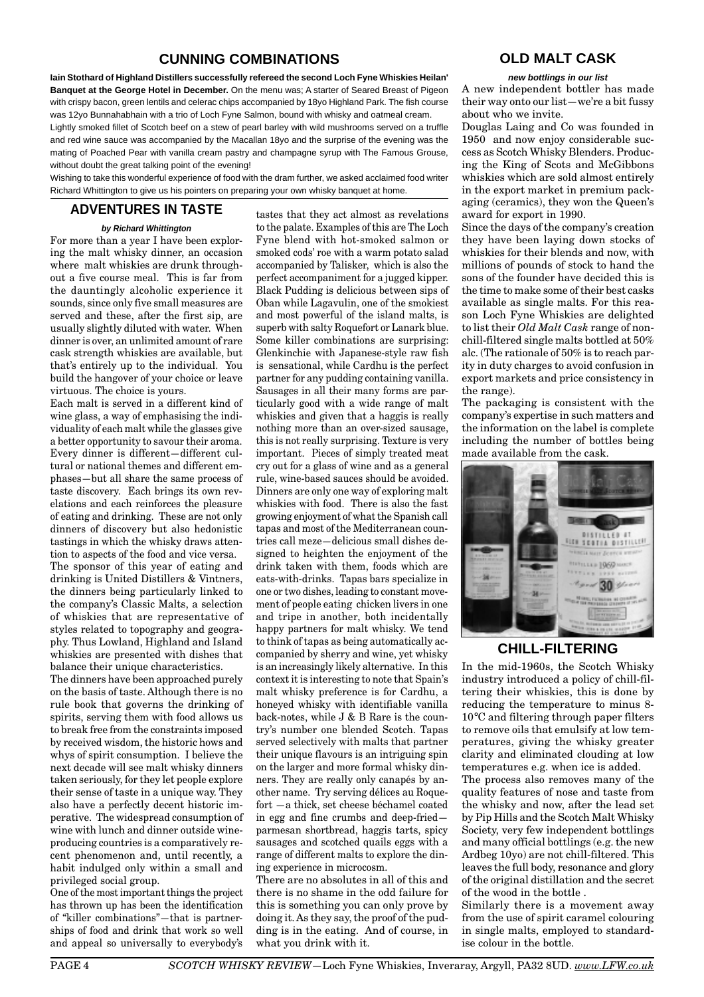# **CUNNING COMBINATIONS**

**Iain Stothard of Highland Distillers successfully refereed the second Loch Fyne Whiskies Heilan' Banquet at the George Hotel in December.** On the menu was; A starter of Seared Breast of Pigeon with crispy bacon, green lentils and celerac chips accompanied by 18yo Highland Park. The fish course was 12yo Bunnahabhain with a trio of Loch Fyne Salmon, bound with whisky and oatmeal cream.

Lightly smoked fillet of Scotch beef on a stew of pearl barley with wild mushrooms served on a truffle and red wine sauce was accompanied by the Macallan 18yo and the surprise of the evening was the mating of Poached Pear with vanilla cream pastry and champagne syrup with The Famous Grouse, without doubt the great talking point of the evening!

Wishing to take this wonderful experience of food with the dram further, we asked acclaimed food writer Richard Whittington to give us his pointers on preparing your own whisky banquet at home.

# **ADVENTURES IN TASTE**

**by Richard Whittington** For more than a year I have been exploring the malt whisky dinner, an occasion where malt whiskies are drunk throughout a five course meal. This is far from the dauntingly alcoholic experience it sounds, since only five small measures are served and these, after the first sip, are usually slightly diluted with water. When dinner is over, an unlimited amount of rare cask strength whiskies are available, but that's entirely up to the individual. You build the hangover of your choice or leave virtuous. The choice is yours.

Each malt is served in a different kind of wine glass, a way of emphasising the individuality of each malt while the glasses give a better opportunity to savour their aroma. Every dinner is different—different cultural or national themes and different emphases—but all share the same process of taste discovery. Each brings its own revelations and each reinforces the pleasure of eating and drinking. These are not only dinners of discovery but also hedonistic tastings in which the whisky draws attention to aspects of the food and vice versa. The sponsor of this year of eating and

drinking is United Distillers & Vintners, the dinners being particularly linked to the company's Classic Malts, a selection of whiskies that are representative of styles related to topography and geography. Thus Lowland, Highland and Island whiskies are presented with dishes that balance their unique characteristics.

The dinners have been approached purely on the basis of taste. Although there is no rule book that governs the drinking of spirits, serving them with food allows us to break free from the constraints imposed by received wisdom, the historic hows and whys of spirit consumption. I believe the next decade will see malt whisky dinners taken seriously, for they let people explore their sense of taste in a unique way. They also have a perfectly decent historic imperative. The widespread consumption of wine with lunch and dinner outside wineproducing countries is a comparatively recent phenomenon and, until recently, a habit indulged only within a small and privileged social group.

One of the most important things the project has thrown up has been the identification of "killer combinations"—that is partnerships of food and drink that work so well and appeal so universally to everybody's tastes that they act almost as revelations to the palate. Examples of this are The Loch Fyne blend with hot-smoked salmon or smoked cods' roe with a warm potato salad accompanied by Talisker, which is also the perfect accompaniment for a jugged kipper. Black Pudding is delicious between sips of Oban while Lagavulin, one of the smokiest and most powerful of the island malts, is superb with salty Roquefort or Lanark blue. Some killer combinations are surprising: Glenkinchie with Japanese-style raw fish is sensational, while Cardhu is the perfect partner for any pudding containing vanilla. Sausages in all their many forms are particularly good with a wide range of malt whiskies and given that a haggis is really nothing more than an over-sized sausage, this is not really surprising. Texture is very important. Pieces of simply treated meat cry out for a glass of wine and as a general rule, wine-based sauces should be avoided. Dinners are only one way of exploring malt whiskies with food. There is also the fast growing enjoyment of what the Spanish call tapas and most of the Mediterranean countries call meze—delicious small dishes designed to heighten the enjoyment of the drink taken with them, foods which are eats-with-drinks. Tapas bars specialize in one or two dishes, leading to constant movement of people eating chicken livers in one and tripe in another, both incidentally happy partners for malt whisky. We tend to think of tapas as being automatically accompanied by sherry and wine, yet whisky is an increasingly likely alternative. In this context it is interesting to note that Spain's malt whisky preference is for Cardhu, a honeyed whisky with identifiable vanilla back-notes, while J & B Rare is the country's number one blended Scotch. Tapas served selectively with malts that partner their unique flavours is an intriguing spin on the larger and more formal whisky dinners. They are really only canapés by another name. Try serving délices au Roquefort —a thick, set cheese béchamel coated in egg and fine crumbs and deep-fried parmesan shortbread, haggis tarts, spicy sausages and scotched quails eggs with a range of different malts to explore the dining experience in microcosm.

There are no absolutes in all of this and there is no shame in the odd failure for this is something you can only prove by doing it. As they say, the proof of the pudding is in the eating. And of course, in what you drink with it.

# **OLD MALT CASK**

#### **new bottlings in our list**

A new independent bottler has made their way onto our list—we're a bit fussy about who we invite.

Douglas Laing and Co was founded in 1950 and now enjoy considerable success as Scotch Whisky Blenders. Producing the King of Scots and McGibbons whiskies which are sold almost entirely in the export market in premium packaging (ceramics), they won the Queen's award for export in 1990.

Since the days of the company's creation they have been laying down stocks of whiskies for their blends and now, with millions of pounds of stock to hand the sons of the founder have decided this is the time to make some of their best casks available as single malts. For this reason Loch Fyne Whiskies are delighted to list their *Old Malt Cask* range of nonchill-filtered single malts bottled at 50% alc. (The rationale of 50% is to reach parity in duty charges to avoid confusion in export markets and price consistency in the range).

The packaging is consistent with the company's expertise in such matters and the information on the label is complete including the number of bottles being made available from the cask.



# **CHILL-FILTERING**

In the mid-1960s, the Scotch Whisky industry introduced a policy of chill-filtering their whiskies, this is done by reducing the temperature to minus 8- 10°C and filtering through paper filters to remove oils that emulsify at low temperatures, giving the whisky greater clarity and eliminated clouding at low temperatures e.g. when ice is added.

The process also removes many of the quality features of nose and taste from the whisky and now, after the lead set by Pip Hills and the Scotch Malt Whisky Society, very few independent bottlings and many official bottlings (e.g. the new Ardbeg 10yo) are not chill-filtered. This leaves the full body, resonance and glory of the original distillation and the secret of the wood in the bottle .

Similarly there is a movement away from the use of spirit caramel colouring in single malts, employed to standardise colour in the bottle.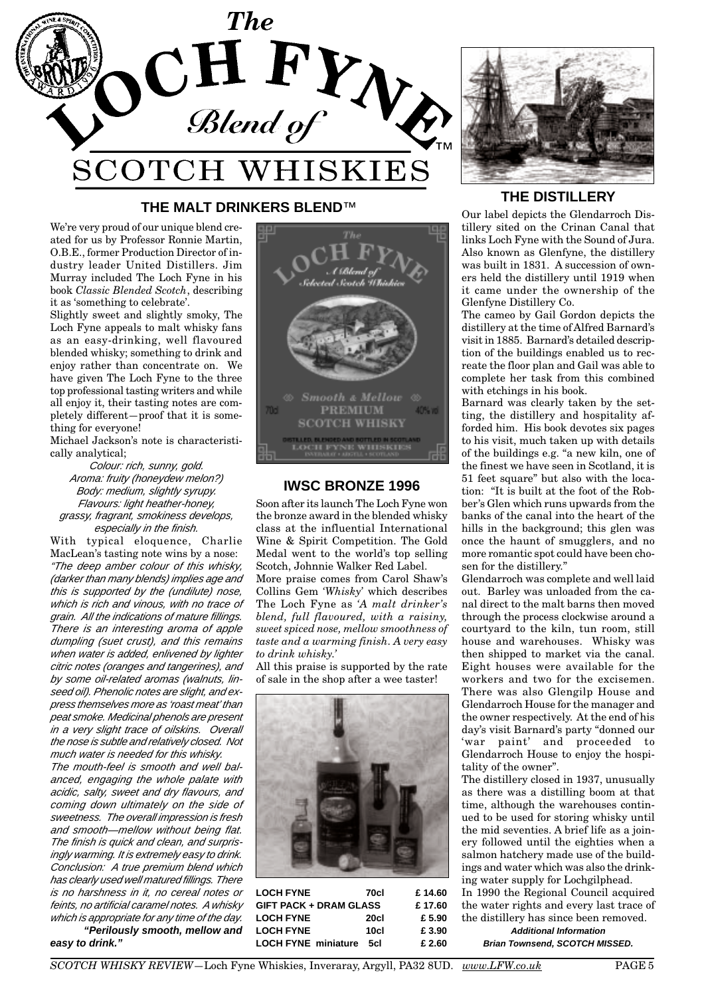

# **THE MALT DRINKERS BLEND**™

We're very proud of our unique blend created for us by Professor Ronnie Martin, O.B.E., former Production Director of industry leader United Distillers. Jim Murray included The Loch Fyne in his book *Classic Blended Scotch*, describing it as 'something to celebrate'.

Slightly sweet and slightly smoky, The Loch Fyne appeals to malt whisky fans as an easy-drinking, well flavoured blended whisky; something to drink and enjoy rather than concentrate on. We have given The Loch Fyne to the three top professional tasting writers and while all enjoy it, their tasting notes are completely different—proof that it is something for everyone!

Michael Jackson's note is characteristically analytical;

Colour: rich, sunny, gold. Aroma: fruity (honeydew melon?) Body: medium, slightly syrupy. Flavours: light heather-honey, grassy, fragrant, smokiness develops, especially in the finish.

With typical eloquence, Charlie MacLean's tasting note wins by a nose: "The deep amber colour of this whisky, (darker than many blends) implies age and this is supported by the (undilute) nose, which is rich and vinous, with no trace of grain. All the indications of mature fillings. There is an interesting aroma of apple dumpling (suet crust), and this remains when water is added, enlivened by lighter citric notes (oranges and tangerines), and by some oil-related aromas (walnuts, linseed oil). Phenolic notes are slight, and express themselves more as 'roast meat' than peat smoke. Medicinal phenols are present in a very slight trace of oilskins. Overall the nose is subtle and relatively closed. Not much water is needed for this whisky.

The mouth-feel is smooth and well balanced, engaging the whole palate with acidic, salty, sweet and dry flavours, and coming down ultimately on the side of sweetness. The overall impression is fresh and smooth—mellow without being flat. The finish is quick and clean, and surprisingly warming. It is extremely easy to drink. Conclusion: A true premium blend which has clearly used well matured fillings. There is no harshness in it, no cereal notes or feints, no artificial caramel notes. A whisky which is appropriate for any time of the day. **"Perilously smooth, mellow and**

**easy to drink."**



# **IWSC BRONZE 1996**

Soon after its launch The Loch Fyne won the bronze award in the blended whisky class at the influential International Wine & Spirit Competition. The Gold Medal went to the world's top selling Scotch, Johnnie Walker Red Label.

More praise comes from Carol Shaw's Collins Gem *'Whisky'* which describes The Loch Fyne as *'A malt drinker's blend, full flavoured, with a raisiny, sweet spiced nose, mellow smoothness of taste and a warming finish. A very easy to drink whisky.'*

All this praise is supported by the rate of sale in the shop after a wee taster!



| <b>LOCH FYNE</b>              | 70cl | £14.60 |
|-------------------------------|------|--------|
| <b>GIFT PACK + DRAM GLASS</b> |      | £17.60 |
| <b>LOCH FYNE</b>              | 20cl | £ 5.90 |
| <b>LOCH FYNE</b>              | 10cl | £ 3.90 |
| <b>LOCH FYNE miniature</b>    | 5cl  | £ 2.60 |



# **THE DISTILLERY**

Our label depicts the Glendarroch Distillery sited on the Crinan Canal that links Loch Fyne with the Sound of Jura. Also known as Glenfyne, the distillery was built in 1831. A succession of owners held the distillery until 1919 when it came under the ownership of the Glenfyne Distillery Co.

The cameo by Gail Gordon depicts the distillery at the time of Alfred Barnard's visit in 1885. Barnard's detailed description of the buildings enabled us to recreate the floor plan and Gail was able to complete her task from this combined with etchings in his book.

Barnard was clearly taken by the setting, the distillery and hospitality afforded him. His book devotes six pages to his visit, much taken up with details of the buildings e.g. "a new kiln, one of the finest we have seen in Scotland, it is 51 feet square" but also with the location: "It is built at the foot of the Robber's Glen which runs upwards from the banks of the canal into the heart of the hills in the background; this glen was once the haunt of smugglers, and no more romantic spot could have been chosen for the distillery."

Glendarroch was complete and well laid out. Barley was unloaded from the canal direct to the malt barns then moved through the process clockwise around a courtyard to the kiln, tun room, still house and warehouses. Whisky was then shipped to market via the canal. Eight houses were available for the workers and two for the excisemen. There was also Glengilp House and Glendarroch House for the manager and the owner respectively. At the end of his day's visit Barnard's party "donned our 'war paint' and proceeded to Glendarroch House to enjoy the hospitality of the owner".

The distillery closed in 1937, unusually as there was a distilling boom at that time, although the warehouses continued to be used for storing whisky until the mid seventies. A brief life as a joinery followed until the eighties when a salmon hatchery made use of the buildings and water which was also the drinking water supply for Lochgilphead.

In 1990 the Regional Council acquired the water rights and every last trace of the distillery has since been removed. **Additional Information**

**Brian Townsend, SCOTCH MISSED.**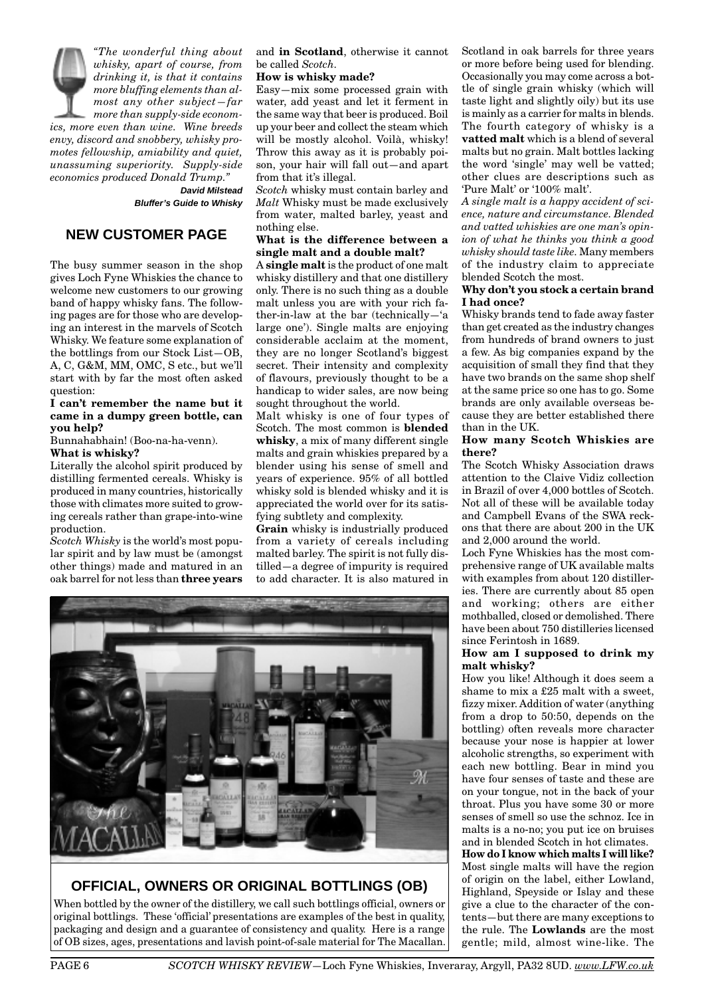*"The wonderful thing about whisky, apart of course, from drinking it, is that it contains more bluffing elements than almost any other subject—far more than supply-side economics, more even than wine. Wine breeds envy, discord and snobbery, whisky promotes fellowship, amiability and quiet, unassuming superiority. Supply-side economics produced Donald Trump."*  **David Milstead**

**Bluffer's Guide to Whisky**

# **NEW CUSTOMER PAGE**

The busy summer season in the shop gives Loch Fyne Whiskies the chance to welcome new customers to our growing band of happy whisky fans. The following pages are for those who are developing an interest in the marvels of Scotch Whisky. We feature some explanation of the bottlings from our Stock List—OB, A, C, G&M, MM, OMC, S etc., but we'll start with by far the most often asked question:

#### **I can't remember the name but it came in a dumpy green bottle, can you help?**

Bunnahabhain! (Boo-na-ha-venn).

**What is whisky?**

Literally the alcohol spirit produced by distilling fermented cereals. Whisky is produced in many countries, historically those with climates more suited to growing cereals rather than grape-into-wine production.

*Scotch Whisky* is the world's most popular spirit and by law must be (amongst other things) made and matured in an oak barrel for not less than **three years** and **in Scotland**, otherwise it cannot be called *Scotch.*

#### **How is whisky made?**

Easy—mix some processed grain with water, add yeast and let it ferment in the same way that beer is produced. Boil up your beer and collect the steam which will be mostly alcohol. Voilà, whisky! Throw this away as it is probably poison, your hair will fall out—and apart from that it's illegal.

*Scotch* whisky must contain barley and *Malt* Whisky must be made exclusively from water, malted barley, yeast and nothing else.

# **What is the difference between a single malt and a double malt?**

A **single malt** is the product of one malt whisky distillery and that one distillery only. There is no such thing as a double malt unless you are with your rich father-in-law at the bar (technically—'a large one'). Single malts are enjoying considerable acclaim at the moment, they are no longer Scotland's biggest secret. Their intensity and complexity of flavours, previously thought to be a handicap to wider sales, are now being sought throughout the world.

Malt whisky is one of four types of Scotch. The most common is **blended whisky**, a mix of many different single malts and grain whiskies prepared by a blender using his sense of smell and years of experience. 95% of all bottled whisky sold is blended whisky and it is appreciated the world over for its satisfying subtlety and complexity.

**Grain** whisky is industrially produced from a variety of cereals including malted barley. The spirit is not fully distilled—a degree of impurity is required to add character. It is also matured in



# **OFFICIAL, OWNERS OR ORIGINAL BOTTLINGS (OB)**

When bottled by the owner of the distillery, we call such bottlings official, owners or original bottlings. These 'official' presentations are examples of the best in quality, packaging and design and a guarantee of consistency and quality. Here is a range of OB sizes, ages, presentations and lavish point-of-sale material for The Macallan. Scotland in oak barrels for three years or more before being used for blending. Occasionally you may come across a bottle of single grain whisky (which will taste light and slightly oily) but its use is mainly as a carrier for malts in blends. The fourth category of whisky is a **vatted malt** which is a blend of several malts but no grain. Malt bottles lacking the word 'single' may well be vatted; other clues are descriptions such as 'Pure Malt' or '100% malt'.

*A single malt is a happy accident of science, nature and circumstance. Blended and vatted whiskies are one man's opinion of what he thinks you think a good whisky should taste like.* Many members of the industry claim to appreciate blended Scotch the most.

#### **Why don't you stock a certain brand I had once?**

Whisky brands tend to fade away faster than get created as the industry changes from hundreds of brand owners to just a few. As big companies expand by the acquisition of small they find that they have two brands on the same shop shelf at the same price so one has to go. Some brands are only available overseas because they are better established there than in the UK.

## **How many Scotch Whiskies are there?**

The Scotch Whisky Association draws attention to the Claive Vidiz collection in Brazil of over 4,000 bottles of Scotch. Not all of these will be available today and Campbell Evans of the SWA reckons that there are about 200 in the UK and 2,000 around the world.

Loch Fyne Whiskies has the most comprehensive range of UK available malts with examples from about 120 distilleries. There are currently about 85 open and working; others are either mothballed, closed or demolished. There have been about 750 distilleries licensed since Ferintosh in 1689.

## **How am I supposed to drink my malt whisky?**

How you like! Although it does seem a shame to mix a £25 malt with a sweet, fizzy mixer. Addition of water (anything from a drop to 50:50, depends on the bottling) often reveals more character because your nose is happier at lower alcoholic strengths, so experiment with each new bottling. Bear in mind you have four senses of taste and these are on your tongue, not in the back of your throat. Plus you have some 30 or more senses of smell so use the schnoz. Ice in malts is a no-no; you put ice on bruises and in blended Scotch in hot climates. **How do I know which malts I will like?** Most single malts will have the region of origin on the label, either Lowland, Highland, Speyside or Islay and these

give a clue to the character of the contents—but there are many exceptions to the rule. The **Lowlands** are the most gentle; mild, almost wine-like. The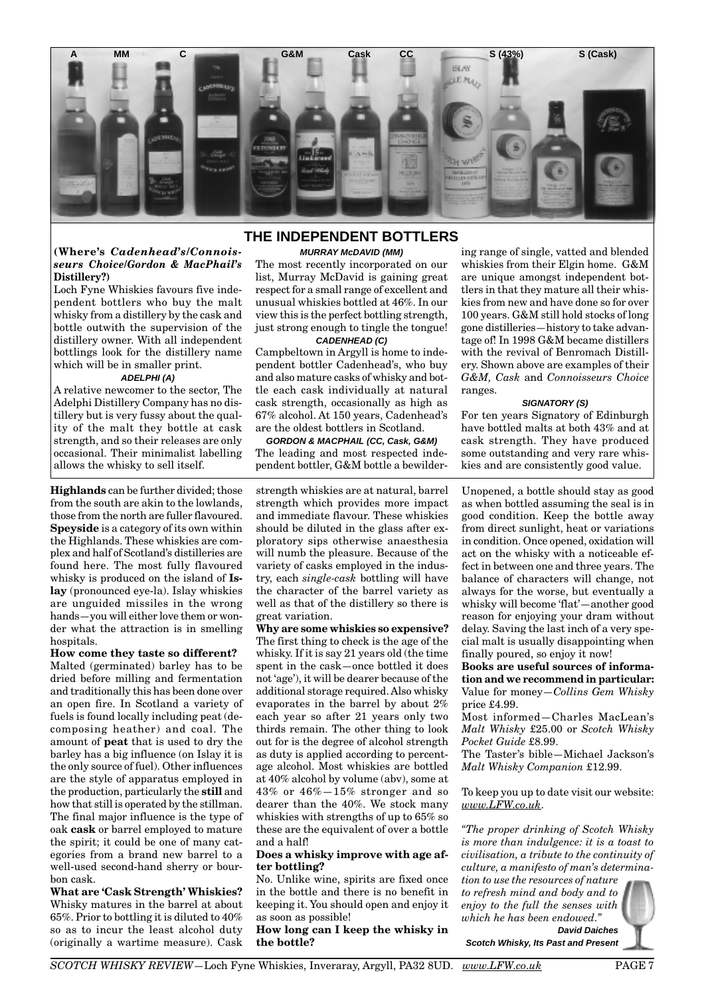

#### **(Where's** *Cadenhead's/Connoisseurs Choice/Gordon & MacPhail's* **Distillery?)**

Loch Fyne Whiskies favours five independent bottlers who buy the malt whisky from a distillery by the cask and bottle outwith the supervision of the distillery owner. With all independent bottlings look for the distillery name which will be in smaller print.

#### **ADELPHI (A)**

A relative newcomer to the sector, The Adelphi Distillery Company has no distillery but is very fussy about the quality of the malt they bottle at cask strength, and so their releases are only occasional. Their minimalist labelling allows the whisky to sell itself.

**Highlands** can be further divided; those from the south are akin to the lowlands, those from the north are fuller flavoured. **Speyside** is a category of its own within the Highlands. These whiskies are complex and half of Scotland's distilleries are found here. The most fully flavoured whisky is produced on the island of **Islay** (pronounced eye-la). Islay whiskies are unguided missiles in the wrong hands—you will either love them or wonder what the attraction is in smelling hospitals.

# **How come they taste so different?**

Malted (germinated) barley has to be dried before milling and fermentation and traditionally this has been done over an open fire. In Scotland a variety of fuels is found locally including peat (decomposing heather) and coal. The amount of **peat** that is used to dry the barley has a big influence (on Islay it is the only source of fuel). Other influences are the style of apparatus employed in the production, particularly the **still** and how that still is operated by the stillman. The final major influence is the type of oak **cask** or barrel employed to mature the spirit; it could be one of many categories from a brand new barrel to a well-used second-hand sherry or bourbon cask.

**What are 'Cask Strength' Whiskies?** Whisky matures in the barrel at about 65%. Prior to bottling it is diluted to 40% so as to incur the least alcohol duty (originally a wartime measure). Cask

# **THE INDEPENDENT BOTTLERS**

#### **MURRAY McDAVID (MM)**

The most recently incorporated on our list, Murray McDavid is gaining great respect for a small range of excellent and unusual whiskies bottled at 46%. In our view this is the perfect bottling strength, just strong enough to tingle the tongue!

**CADENHEAD (C)** Campbeltown in Argyll is home to independent bottler Cadenhead's, who buy and also mature casks of whisky and bottle each cask individually at natural cask strength, occasionally as high as 67% alcohol. At 150 years, Cadenhead's are the oldest bottlers in Scotland.

**GORDON & MACPHAIL (CC, Cask, G&M)** The leading and most respected independent bottler, G&M bottle a bewilder-

strength whiskies are at natural, barrel strength which provides more impact and immediate flavour. These whiskies should be diluted in the glass after exploratory sips otherwise anaesthesia will numb the pleasure. Because of the variety of casks employed in the industry, each *single-cask* bottling will have the character of the barrel variety as well as that of the distillery so there is great variation.

**Why are some whiskies so expensive?** The first thing to check is the age of the whisky. If it is say 21 years old (the time spent in the cask—once bottled it does not 'age'), it will be dearer because of the additional storage required. Also whisky evaporates in the barrel by about 2% each year so after 21 years only two thirds remain. The other thing to look out for is the degree of alcohol strength as duty is applied according to percentage alcohol. Most whiskies are bottled at 40% alcohol by volume (abv), some at 43% or 46%—15% stronger and so dearer than the 40%. We stock many whiskies with strengths of up to 65% so these are the equivalent of over a bottle and a half!

#### **Does a whisky improve with age after bottling?**

No. Unlike wine, spirits are fixed once in the bottle and there is no benefit in keeping it. You should open and enjoy it as soon as possible!

**How long can I keep the whisky in the bottle?**

ing range of single, vatted and blended whiskies from their Elgin home. G&M are unique amongst independent bottlers in that they mature all their whiskies from new and have done so for over 100 years. G&M still hold stocks of long gone distilleries—history to take advantage of! In 1998 G&M became distillers with the revival of Benromach Distillery. Shown above are examples of their *G&M, Cask* and *Connoisseurs Choice* ranges.

#### **SIGNATORY (S)**

For ten years Signatory of Edinburgh have bottled malts at both 43% and at cask strength. They have produced some outstanding and very rare whiskies and are consistently good value.

Unopened, a bottle should stay as good as when bottled assuming the seal is in good condition. Keep the bottle away from direct sunlight, heat or variations in condition. Once opened, oxidation will act on the whisky with a noticeable effect in between one and three years. The balance of characters will change, not always for the worse, but eventually a whisky will become 'flat'—another good reason for enjoying your dram without delay. Saving the last inch of a very special malt is usually disappointing when finally poured, so enjoy it now!

**Books are useful sources of information and we recommend in particular:** Value for money—*Collins Gem Whisky* price £4.99.

Most informed—Charles MacLean's *Malt Whisky* £25.00 or *Scotch Whisky Pocket Guide* £8.99.

The Taster's bible—Michael Jackson's *Malt Whisky Companion* £12.99.

To keep you up to date visit our website: *www.LFW.co.uk*.

*"The proper drinking of Scotch Whisky is more than indulgence: it is a toast to civilisation, a tribute to the continuity of culture, a manifesto of man's determina-*

*tion to use the resources of nature to refresh mind and body and to enjoy to the full the senses with which he has been endowed."* **David Daiches**



**Scotch Whisky, Its Past and Present**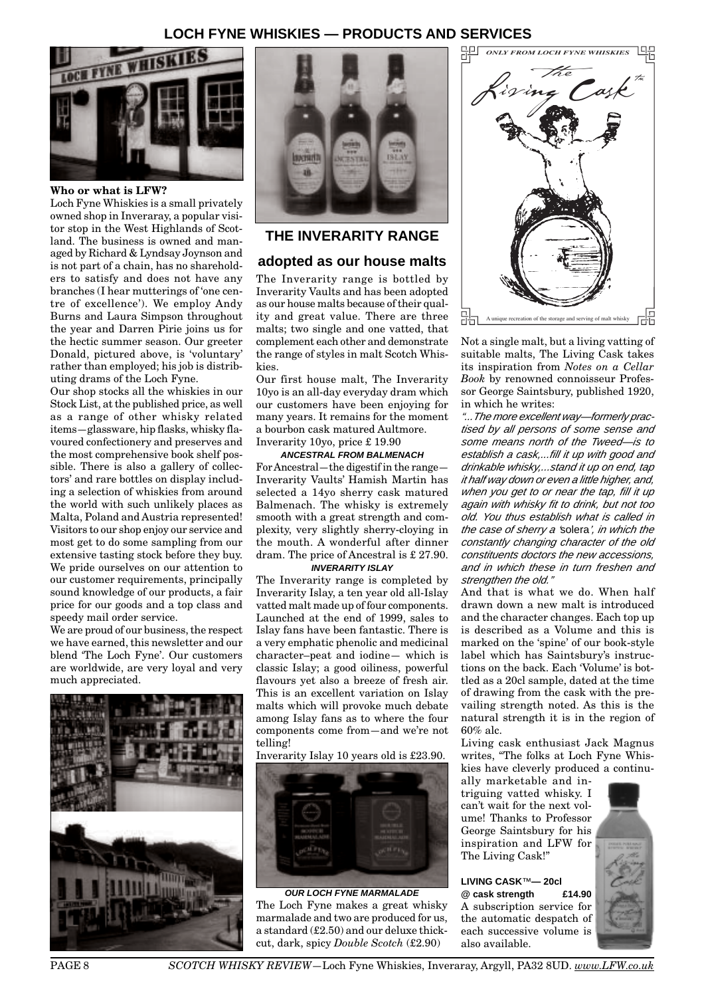# **LOCH FYNE WHISKIES — PRODUCTS AND SERVICES**



**Who or what is LFW?**

Loch Fyne Whiskies is a small privately owned shop in Inveraray, a popular visitor stop in the West Highlands of Scotland. The business is owned and managed by Richard & Lyndsay Joynson and is not part of a chain, has no shareholders to satisfy and does not have any branches (I hear mutterings of 'one centre of excellence'). We employ Andy Burns and Laura Simpson throughout the year and Darren Pirie joins us for the hectic summer season. Our greeter Donald, pictured above, is 'voluntary' rather than employed; his job is distributing drams of the Loch Fyne.

Our shop stocks all the whiskies in our Stock List, at the published price, as well as a range of other whisky related items—glassware, hip flasks, whisky flavoured confectionery and preserves and the most comprehensive book shelf possible. There is also a gallery of collectors' and rare bottles on display including a selection of whiskies from around the world with such unlikely places as Malta, Poland and Austria represented! Visitors to our shop enjoy our service and most get to do some sampling from our extensive tasting stock before they buy. We pride ourselves on our attention to our customer requirements, principally sound knowledge of our products, a fair price for our goods and a top class and speedy mail order service.

We are proud of our business, the respect we have earned, this newsletter and our blend 'The Loch Fyne'. Our customers are worldwide, are very loyal and very much appreciated.





# **THE INVERARITY RANGE**

# **adopted as our house malts**

The Inverarity range is bottled by Inverarity Vaults and has been adopted as our house malts because of their quality and great value. There are three malts; two single and one vatted, that complement each other and demonstrate the range of styles in malt Scotch Whiskies.

Our first house malt, The Inverarity 10yo is an all-day everyday dram which our customers have been enjoying for many years. It remains for the moment a bourbon cask matured Aultmore. Inverarity 10yo, price £ 19.90

## **ANCESTRAL FROM BALMENACH**

For Ancestral—the digestif in the range— Inverarity Vaults' Hamish Martin has selected a 14yo sherry cask matured Balmenach. The whisky is extremely smooth with a great strength and complexity, very slightly sherry-cloying in the mouth. A wonderful after dinner dram. The price of Ancestral is £ 27.90.

# **INVERARITY ISLAY**

The Inverarity range is completed by Inverarity Islay, a ten year old all-Islay vatted malt made up of four components. Launched at the end of 1999, sales to Islay fans have been fantastic. There is a very emphatic phenolic and medicinal character–peat and iodine— which is classic Islay; a good oiliness, powerful flavours yet also a breeze of fresh air. This is an excellent variation on Islay malts which will provoke much debate among Islay fans as to where the four components come from—and we're not telling!

#### Inverarity Islay 10 years old is £23.90.



**OUR LOCH FYNE MARMALADE** The Loch Fyne makes a great whisky marmalade and two are produced for us, a standard (£2.50) and our deluxe thickcut, dark, spicy *Double Scotch* (£2.90)



Not a single malt, but a living vatting of suitable malts, The Living Cask takes its inspiration from *Notes on a Cellar Book* by renowned connoisseur Professor George Saintsbury, published 1920, in which he writes:

"...The more excellent way—formerly practised by all persons of some sense and some means north of the Tweed—is to establish a cask,...fill it up with good and drinkable whisky,...stand it up on end, tap it half way down or even a little higher, and, when you get to or near the tap, fill it up again with whisky fit to drink, but not too old. You thus establish what is called in the case of sherry a 'solera', in which the constantly changing character of the old constituents doctors the new accessions, and in which these in turn freshen and strengthen the old."

And that is what we do. When half drawn down a new malt is introduced and the character changes. Each top up is described as a Volume and this is marked on the 'spine' of our book-style label which has Saintsbury's instructions on the back. Each 'Volume' is bottled as a 20cl sample, dated at the time of drawing from the cask with the prevailing strength noted. As this is the natural strength it is in the region of 60% alc.

Living cask enthusiast Jack Magnus writes, "The folks at Loch Fyne Whiskies have cleverly produced a continu-

ally marketable and intriguing vatted whisky. I can't wait for the next volume! Thanks to Professor George Saintsbury for his inspiration and LFW for The Living Cask!"

**LIVING CASK**™**— 20cl @ cask strength £14.90** A subscription service for the automatic despatch of each successive volume is also available.

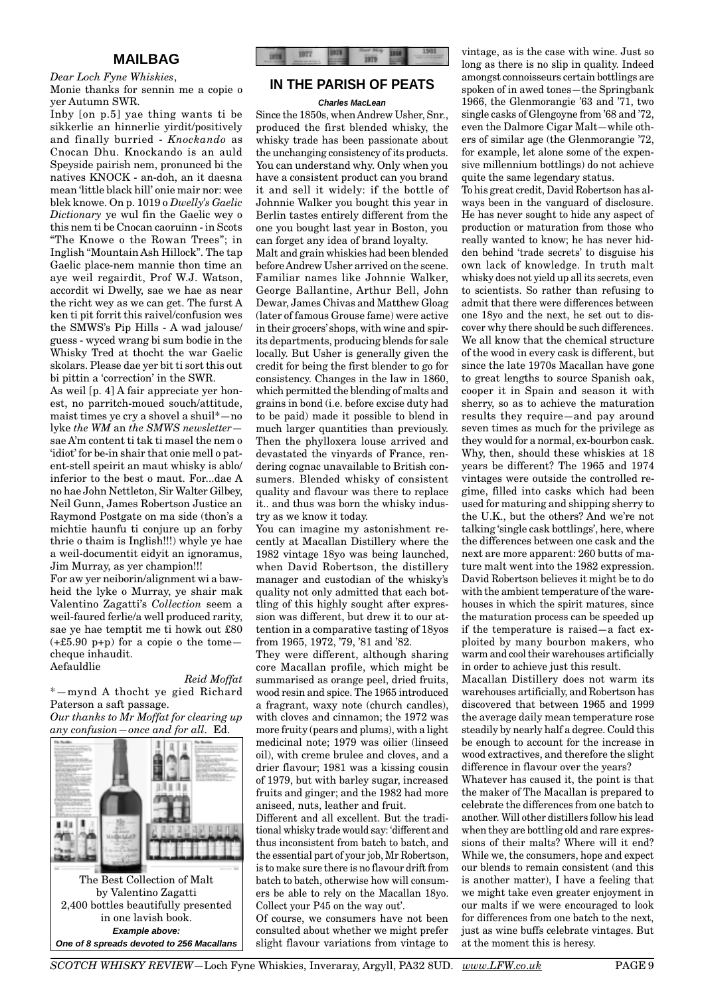# **MAILBAG**

# *Dear Loch Fyne Whiskies*,

Monie thanks for sennin me a copie o yer Autumn SWR.

Inby [on p.5] yae thing wants ti be sikkerlie an hinnerlie yirdit/positively and finally burried - *Knockando* as Cnocan Dhu. Knockando is an auld Speyside pairish nem, pronunced bi the natives KNOCK - an-doh, an it daesna mean 'little black hill' onie mair nor: wee blek knowe. On p. 1019 o *Dwelly's Gaelic Dictionary* ye wul fin the Gaelic wey o this nem ti be Cnocan caoruinn - in Scots "The Knowe o the Rowan Trees"; in Inglish "Mountain Ash Hillock". The tap Gaelic place-nem mannie thon time an aye weil regairdit, Prof W.J. Watson, accordit wi Dwelly, sae we hae as near the richt wey as we can get. The furst A ken ti pit forrit this raivel/confusion wes the SMWS's Pip Hills - A wad jalouse/ guess - wyced wrang bi sum bodie in the Whisky Tred at thocht the war Gaelic skolars. Please dae yer bit ti sort this out bi pittin a 'correction' in the SWR.

As weil [p. 4] A fair appreciate yer honest, no parritch-moued souch/attitude, maist times ye cry a shovel a shuil\*—no lyke *the WM* an *the SMWS newsletter* sae A'm content ti tak ti masel the nem o 'idiot' for be-in shair that onie mell o patent-stell speirit an maut whisky is ablo/ inferior to the best o maut. For...dae A no hae John Nettleton, Sir Walter Gilbey, Neil Gunn, James Robertson Justice an Raymond Postgate on ma side (thon's a michtie haunfu ti conjure up an forby thrie o thaim is Inglish!!!) whyle ye hae a weil-documentit eidyit an ignoramus, Jim Murray, as yer champion!!! For aw yer neiborin/alignment wi a baw-

heid the lyke o Murray, ye shair mak Valentino Zagatti's *Collection* seem a weil-faured ferlie/a well produced rarity, sae ye hae temptit me ti howk out £80  $(+£5.90 \text{ p+p})$  for a copie o the tomecheque inhaudit. Aefauldlie

#### *Reid Moffat*

\*—mynd A thocht ye gied Richard Paterson a saft passage.

*Our thanks to Mr Moffat for clearing up any confusion—once and for all.* Ed.



by Valentino Zagatti 2,400 bottles beautifully presented in one lavish book. **Example above: One of 8 spreads devoted to 256 Macallans**



# **IN THE PARISH OF PEATS**

#### **Charles MacLean**

Since the 1850s, when Andrew Usher, Snr., produced the first blended whisky, the whisky trade has been passionate about the unchanging consistency of its products. You can understand why. Only when you have a consistent product can you brand it and sell it widely: if the bottle of Johnnie Walker you bought this year in Berlin tastes entirely different from the one you bought last year in Boston, you can forget any idea of brand loyalty.

Malt and grain whiskies had been blended before Andrew Usher arrived on the scene. Familiar names like Johnnie Walker, George Ballantine, Arthur Bell, John Dewar, James Chivas and Matthew Gloag (later of famous Grouse fame) were active in their grocers' shops, with wine and spirits departments, producing blends for sale locally. But Usher is generally given the credit for being the first blender to go for consistency. Changes in the law in 1860, which permitted the blending of malts and grains in bond (i.e. before excise duty had to be paid) made it possible to blend in much larger quantities than previously. Then the phylloxera louse arrived and devastated the vinyards of France, rendering cognac unavailable to British consumers. Blended whisky of consistent quality and flavour was there to replace it.. and thus was born the whisky industry as we know it today.

You can imagine my astonishment recently at Macallan Distillery where the 1982 vintage 18yo was being launched, when David Robertson, the distillery manager and custodian of the whisky's quality not only admitted that each bottling of this highly sought after expression was different, but drew it to our attention in a comparative tasting of 18yos from 1965, 1972, '79, '81 and '82.

They were different, although sharing core Macallan profile, which might be summarised as orange peel, dried fruits, wood resin and spice. The 1965 introduced a fragrant, waxy note (church candles), with cloves and cinnamon; the 1972 was more fruity (pears and plums), with a light medicinal note; 1979 was oilier (linseed oil), with creme brulee and cloves, and a drier flavour; 1981 was a kissing cousin of 1979, but with barley sugar, increased fruits and ginger; and the 1982 had more aniseed, nuts, leather and fruit.

Different and all excellent. But the traditional whisky trade would say: 'different and thus inconsistent from batch to batch, and the essential part of your job, Mr Robertson, is to make sure there is no flavour drift from batch to batch, otherwise how will consumers be able to rely on the Macallan 18yo. Collect your P45 on the way out'.

Of course, we consumers have not been consulted about whether we might prefer slight flavour variations from vintage to

vintage, as is the case with wine. Just so long as there is no slip in quality. Indeed amongst connoisseurs certain bottlings are spoken of in awed tones—the Springbank 1966, the Glenmorangie '63 and '71, two single casks of Glengoyne from '68 and '72, even the Dalmore Cigar Malt—while others of similar age (the Glenmorangie '72, for example, let alone some of the expensive millennium bottlings) do not achieve quite the same legendary status.

To his great credit, David Robertson has always been in the vanguard of disclosure. He has never sought to hide any aspect of production or maturation from those who really wanted to know; he has never hidden behind 'trade secrets' to disguise his own lack of knowledge. In truth malt whisky does not yield up all its secrets, even to scientists. So rather than refusing to admit that there were differences between one 18yo and the next, he set out to discover why there should be such differences. We all know that the chemical structure of the wood in every cask is different, but since the late 1970s Macallan have gone to great lengths to source Spanish oak, cooper it in Spain and season it with sherry, so as to achieve the maturation results they require—and pay around seven times as much for the privilege as they would for a normal, ex-bourbon cask. Why, then, should these whiskies at 18 years be different? The 1965 and 1974 vintages were outside the controlled regime, filled into casks which had been used for maturing and shipping sherry to the U.K., but the others? And we're not talking 'single cask bottlings', here, where the differences between one cask and the next are more apparent: 260 butts of mature malt went into the 1982 expression. David Robertson believes it might be to do with the ambient temperature of the warehouses in which the spirit matures, since the maturation process can be speeded up if the temperature is raised—a fact exploited by many bourbon makers, who warm and cool their warehouses artificially in order to achieve just this result.

Macallan Distillery does not warm its warehouses artificially, and Robertson has discovered that between 1965 and 1999 the average daily mean temperature rose steadily by nearly half a degree. Could this be enough to account for the increase in wood extractives, and therefore the slight difference in flavour over the years?

Whatever has caused it, the point is that the maker of The Macallan is prepared to celebrate the differences from one batch to another. Will other distillers follow his lead when they are bottling old and rare expressions of their malts? Where will it end? While we, the consumers, hope and expect our blends to remain consistent (and this is another matter), I have a feeling that we might take even greater enjoyment in our malts if we were encouraged to look for differences from one batch to the next, just as wine buffs celebrate vintages. But at the moment this is heresy.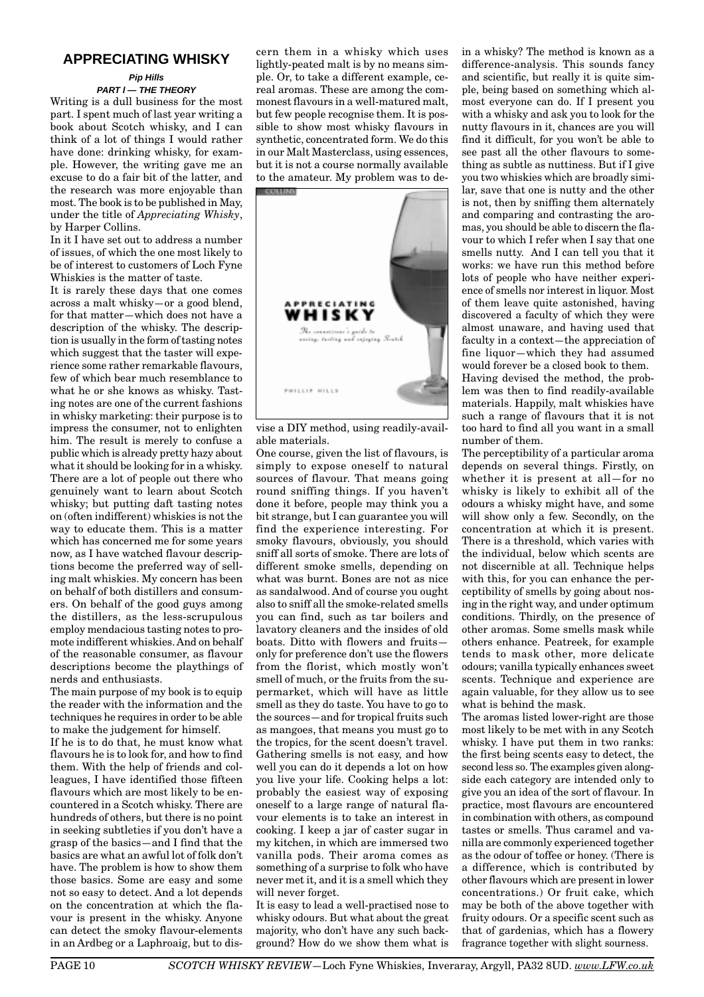# **APPRECIATING WHISKY**

#### **Pip Hills PART l — THE THEORY**

Writing is a dull business for the most part. I spent much of last year writing a book about Scotch whisky, and I can think of a lot of things I would rather have done: drinking whisky, for example. However, the writing gave me an excuse to do a fair bit of the latter, and the research was more enjoyable than most. The book is to be published in May, under the title of *Appreciating Whisky*, by Harper Collins.

In it I have set out to address a number of issues, of which the one most likely to be of interest to customers of Loch Fyne Whiskies is the matter of taste.

It is rarely these days that one comes across a malt whisky—or a good blend, for that matter—which does not have a description of the whisky. The description is usually in the form of tasting notes which suggest that the taster will experience some rather remarkable flavours, few of which bear much resemblance to what he or she knows as whisky. Tasting notes are one of the current fashions in whisky marketing: their purpose is to impress the consumer, not to enlighten him. The result is merely to confuse a public which is already pretty hazy about what it should be looking for in a whisky. There are a lot of people out there who genuinely want to learn about Scotch whisky; but putting daft tasting notes on (often indifferent) whiskies is not the way to educate them. This is a matter which has concerned me for some years now, as I have watched flavour descriptions become the preferred way of selling malt whiskies. My concern has been on behalf of both distillers and consumers. On behalf of the good guys among the distillers, as the less-scrupulous employ mendacious tasting notes to promote indifferent whiskies. And on behalf of the reasonable consumer, as flavour descriptions become the playthings of nerds and enthusiasts.

The main purpose of my book is to equip the reader with the information and the techniques he requires in order to be able to make the judgement for himself. If he is to do that, he must know what flavours he is to look for, and how to find them. With the help of friends and colleagues, I have identified those fifteen flavours which are most likely to be encountered in a Scotch whisky. There are hundreds of others, but there is no point in seeking subtleties if you don't have a grasp of the basics—and I find that the basics are what an awful lot of folk don't have. The problem is how to show them those basics. Some are easy and some not so easy to detect. And a lot depends on the concentration at which the flavour is present in the whisky. Anyone can detect the smoky flavour-elements in an Ardbeg or a Laphroaig, but to discern them in a whisky which uses lightly-peated malt is by no means simple. Or, to take a different example, cereal aromas. These are among the commonest flavours in a well-matured malt, but few people recognise them. It is possible to show most whisky flavours in synthetic, concentrated form. We do this in our Malt Masterclass, using essences, but it is not a course normally available to the amateur. My problem was to de-



vise a DIY method, using readily-available materials.

One course, given the list of flavours, is simply to expose oneself to natural sources of flavour. That means going round sniffing things. If you haven't done it before, people may think you a bit strange, but I can guarantee you will find the experience interesting. For smoky flavours, obviously, you should sniff all sorts of smoke. There are lots of different smoke smells, depending on what was burnt. Bones are not as nice as sandalwood. And of course you ought also to sniff all the smoke-related smells you can find, such as tar boilers and lavatory cleaners and the insides of old boats. Ditto with flowers and fruits only for preference don't use the flowers from the florist, which mostly won't smell of much, or the fruits from the supermarket, which will have as little smell as they do taste. You have to go to the sources—and for tropical fruits such as mangoes, that means you must go to the tropics, for the scent doesn't travel. Gathering smells is not easy, and how well you can do it depends a lot on how you live your life. Cooking helps a lot: probably the easiest way of exposing oneself to a large range of natural flavour elements is to take an interest in cooking. I keep a jar of caster sugar in my kitchen, in which are immersed two vanilla pods. Their aroma comes as something of a surprise to folk who have never met it, and it is a smell which they will never forget.

It is easy to lead a well-practised nose to whisky odours. But what about the great majority, who don't have any such background? How do we show them what is in a whisky? The method is known as a difference-analysis. This sounds fancy and scientific, but really it is quite simple, being based on something which almost everyone can do. If I present you with a whisky and ask you to look for the nutty flavours in it, chances are you will find it difficult, for you won't be able to see past all the other flavours to something as subtle as nuttiness. But if I give you two whiskies which are broadly similar, save that one is nutty and the other is not, then by sniffing them alternately and comparing and contrasting the aromas, you should be able to discern the flavour to which I refer when I say that one smells nutty. And I can tell you that it works: we have run this method before lots of people who have neither experience of smells nor interest in liquor. Most of them leave quite astonished, having discovered a faculty of which they were almost unaware, and having used that faculty in a context—the appreciation of fine liquor—which they had assumed would forever be a closed book to them. Having devised the method, the problem was then to find readily-available materials. Happily, malt whiskies have such a range of flavours that it is not too hard to find all you want in a small

number of them. The perceptibility of a particular aroma depends on several things. Firstly, on whether it is present at all—for no whisky is likely to exhibit all of the odours a whisky might have, and some will show only a few. Secondly, on the concentration at which it is present. There is a threshold, which varies with the individual, below which scents are not discernible at all. Technique helps with this, for you can enhance the perceptibility of smells by going about nosing in the right way, and under optimum conditions. Thirdly, on the presence of other aromas. Some smells mask while others enhance. Peatreek, for example tends to mask other, more delicate odours; vanilla typically enhances sweet scents. Technique and experience are again valuable, for they allow us to see what is behind the mask.

The aromas listed lower-right are those most likely to be met with in any Scotch whisky. I have put them in two ranks: the first being scents easy to detect, the second less so. The examples given alongside each category are intended only to give you an idea of the sort of flavour. In practice, most flavours are encountered in combination with others, as compound tastes or smells. Thus caramel and vanilla are commonly experienced together as the odour of toffee or honey. (There is a difference, which is contributed by other flavours which are present in lower concentrations.) Or fruit cake, which may be both of the above together with fruity odours. Or a specific scent such as that of gardenias, which has a flowery fragrance together with slight sourness.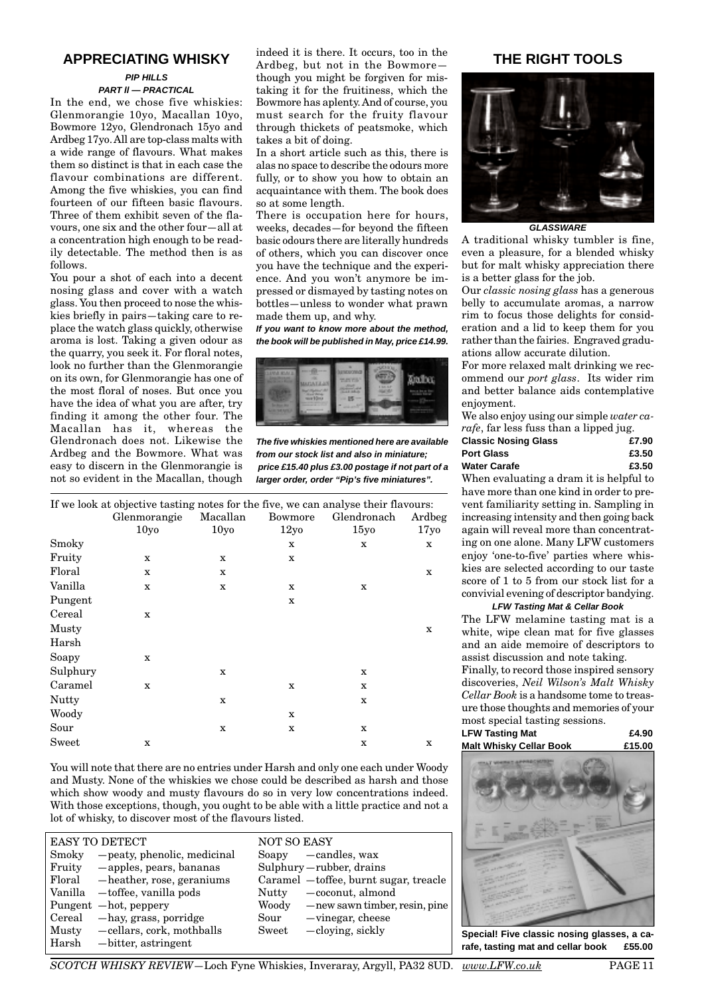# **APPRECIATING WHISKY**

## **PIP HILLS**

# **PART ll — PRACTICAL**

In the end, we chose five whiskies: Glenmorangie 10yo, Macallan 10yo, Bowmore 12yo, Glendronach 15yo and Ardbeg 17yo. All are top-class malts with a wide range of flavours. What makes them so distinct is that in each case the flavour combinations are different. Among the five whiskies, you can find fourteen of our fifteen basic flavours. Three of them exhibit seven of the flavours, one six and the other four—all at a concentration high enough to be readily detectable. The method then is as follows.

You pour a shot of each into a decent nosing glass and cover with a watch glass. You then proceed to nose the whiskies briefly in pairs—taking care to replace the watch glass quickly, otherwise aroma is lost. Taking a given odour as the quarry, you seek it. For floral notes, look no further than the Glenmorangie on its own, for Glenmorangie has one of the most floral of noses. But once you have the idea of what you are after, try finding it among the other four. The Macallan has it, whereas the Glendronach does not. Likewise the Ardbeg and the Bowmore. What was easy to discern in the Glenmorangie is not so evident in the Macallan, though indeed it is there. It occurs, too in the Ardbeg, but not in the Bowmore though you might be forgiven for mistaking it for the fruitiness, which the Bowmore has aplenty. And of course, you must search for the fruity flavour through thickets of peatsmoke, which takes a bit of doing.

In a short article such as this, there is alas no space to describe the odours more fully, or to show you how to obtain an acquaintance with them. The book does so at some length.

There is occupation here for hours, weeks, decades—for beyond the fifteen basic odours there are literally hundreds of others, which you can discover once you have the technique and the experience. And you won't anymore be impressed or dismayed by tasting notes on bottles—unless to wonder what prawn made them up, and why.

**If you want to know more about the method, the book will be published in May, price £14.99.**



**The five whiskies mentioned here are available from our stock list and also in miniature; price £15.40 plus £3.00 postage if not part of a larger order, order "Pip's five miniatures".**

|          | If we look at objective tasting notes for the five, we can analyse their flavours: |                  |                  |                  |                  |
|----------|------------------------------------------------------------------------------------|------------------|------------------|------------------|------------------|
|          | Glenmorangie                                                                       | Macallan         | Bowmore          | Glendronach      | Ardbeg           |
|          | 10 <sub>yo</sub>                                                                   | 10 <sub>vo</sub> | 12y <sub>0</sub> | 15y <sub>0</sub> | 17 <sub>yo</sub> |
| Smoky    |                                                                                    |                  | X                | x                | x                |
| Fruity   | $\mathbf x$                                                                        | X                | $\mathbf X$      |                  |                  |
| Floral   | X                                                                                  | X                |                  |                  | $\mathbf x$      |
| Vanilla  | $\mathbf X$                                                                        | X                | X                | x                |                  |
| Pungent  |                                                                                    |                  | X                |                  |                  |
| Cereal   | $\mathbf x$                                                                        |                  |                  |                  |                  |
| Musty    |                                                                                    |                  |                  |                  | X                |
| Harsh    |                                                                                    |                  |                  |                  |                  |
| Soapy    | $\mathbf x$                                                                        |                  |                  |                  |                  |
| Sulphury |                                                                                    | X                |                  | X                |                  |
| Caramel  | $\mathbf X$                                                                        |                  | X                | X                |                  |
| Nutty    |                                                                                    | X                |                  | X                |                  |
| Woody    |                                                                                    |                  | $\mathbf X$      |                  |                  |
| Sour     |                                                                                    | $\mathbf X$      | $\mathbf X$      | X                |                  |
| Sweet    | X                                                                                  |                  |                  | X                | X                |

You will note that there are no entries under Harsh and only one each under Woody and Musty. None of the whiskies we chose could be described as harsh and those which show woody and musty flavours do so in very low concentrations indeed. With those exceptions, though, you ought to be able with a little practice and not a lot of whisky, to discover most of the flavours listed.

|         | <b>EASY TO DETECT</b>             | <b>NOT SO EASY</b>                        |
|---------|-----------------------------------|-------------------------------------------|
| Smoky   | -peaty, phenolic, medicinal       | $So$ apy $—c$ andles, wax                 |
| Fruity  | -apples, pears, bananas           | Sulphury-rubber, drains                   |
|         | Floral — heather, rose, geraniums | Caramel - toffee, burnt sugar, treacle    |
|         | Vanilla — toffee, vanilla pods    | -coconut, almond<br>Nutty                 |
|         | Pungent -hot, peppery             | Woody<br>— new sawn timber, resin, pine   |
|         | Cereal — hay, grass, porridge     | $-\text{vinegar}, \text{cheese}$<br>Sour  |
| Musty   | -cellars, cork, mothballs         | $-\text{cloying}, \text{sickly}$<br>Sweet |
| ∣ Harsh | $-bitter$ , astringent            |                                           |

# **THE RIGHT TOOLS**



**GLASSWARE**

A traditional whisky tumbler is fine, even a pleasure, for a blended whisky but for malt whisky appreciation there is a better glass for the job.

Our *classic nosing glass* has a generous belly to accumulate aromas, a narrow rim to focus those delights for consideration and a lid to keep them for you rather than the fairies. Engraved graduations allow accurate dilution.

For more relaxed malt drinking we recommend our *port glass*. Its wider rim and better balance aids contemplative enjoyment.

We also enjoy using our simple *water carafe*, far less fuss than a lipped jug.

| <b>Classic Nosing Glass</b> | £7.90 |
|-----------------------------|-------|
| Port Glass                  | £3.50 |
| Water Carafe                | £3.50 |

When evaluating a dram it is helpful to have more than one kind in order to prevent familiarity setting in. Sampling in increasing intensity and then going back again will reveal more than concentrating on one alone. Many LFW customers enjoy 'one-to-five' parties where whiskies are selected according to our taste score of 1 to 5 from our stock list for a convivial evening of descriptor bandying.

#### **LFW Tasting Mat & Cellar Book**

The LFW melamine tasting mat is a white, wipe clean mat for five glasses and an aide memoire of descriptors to assist discussion and note taking.

Finally, to record those inspired sensory discoveries, *Neil Wilson's Malt Whisky Cellar Book* is a handsome tome to treasure those thoughts and memories of your most special tasting sessions.

| LFW Tasting Mat         | £4.90  |
|-------------------------|--------|
| Malt Whisky Cellar Book | £15.00 |



**Special! Five classic nosing glasses, a carafe, tasting mat and cellar book £55.00**

*SCOTCH WHISKY REVIEW*—Loch Fyne Whiskies, Inveraray, Argyll, PA32 8UD. *www.LFW.co.uk* PAGE 11